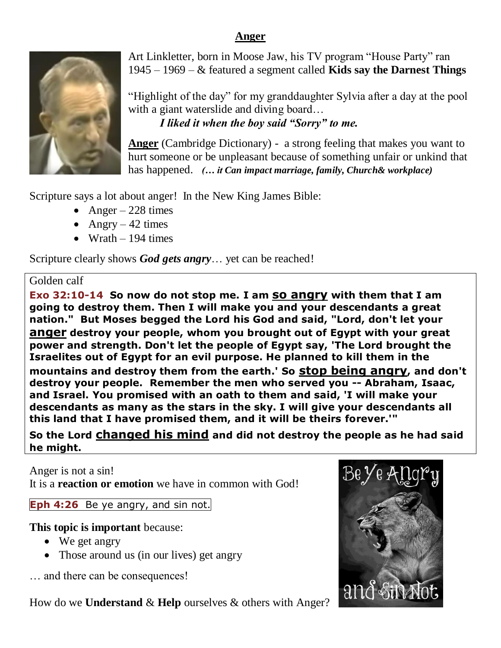## **Anger**



Art Linkletter, born in Moose Jaw, his TV program "House Party" ran 1945 – 1969 – & featured a segment called **Kids say the Darnest Things**

"Highlight of the day" for my granddaughter Sylvia after a day at the pool with a giant waterslide and diving board... *I liked it when the boy said "Sorry" to me.*

**Anger** (Cambridge Dictionary) - a strong feeling that makes you want to hurt someone or be unpleasant because of something unfair or unkind that has happened. *(… it Can impact marriage, family, Church& workplace)*

Scripture says a lot about anger! In the New King James Bible:

- Anger 228 times
- Angry 42 times
- $\bullet$  Wrath 194 times

Scripture clearly shows *God gets angry*… yet can be reached!

# Golden calf

**Exo 32:10-14 So now do not stop me. I am so angry with them that I am going to destroy them. Then I will make you and your descendants a great nation." But Moses begged the Lord his God and said, "Lord, don't let your anger destroy your people, whom you brought out of Egypt with your great power and strength. Don't let the people of Egypt say, 'The Lord brought the Israelites out of Egypt for an evil purpose. He planned to kill them in the mountains and destroy them from the earth.' So stop being angry, and don't destroy your people. Remember the men who served you -- Abraham, Isaac, and Israel. You promised with an oath to them and said, 'I will make your descendants as many as the stars in the sky. I will give your descendants all this land that I have promised them, and it will be theirs forever.'"** 

**So the Lord changed his mind and did not destroy the people as he had said he might.**

Anger is not a sin!

It is a **reaction or emotion** we have in common with God!

**Eph 4:26** Be ye angry, and sin not.

**This topic is important** because:

- We get angry
- Those around us (in our lives) get angry

… and there can be consequences!

How do we **Understand** & **Help** ourselves & others with Anger?

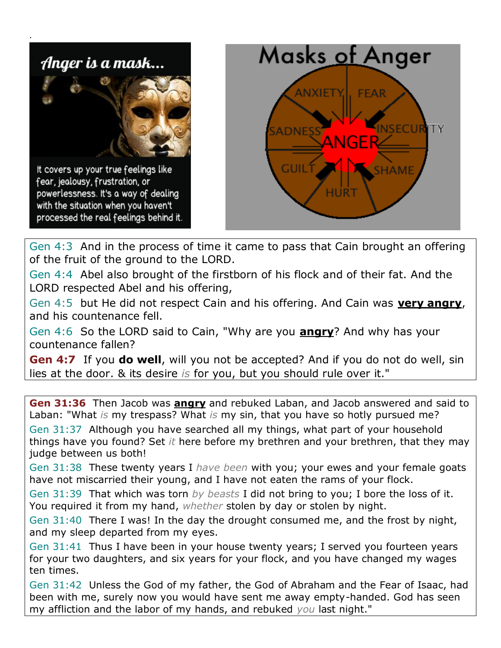

Gen 4:3 And in the process of time it came to pass that Cain brought an offering of the fruit of the ground to the LORD.

Gen 4:4 Abel also brought of the firstborn of his flock and of their fat. And the LORD respected Abel and his offering,

Gen 4:5 but He did not respect Cain and his offering. And Cain was **very angry**, and his countenance fell.

Gen 4:6 So the LORD said to Cain, "Why are you **angry**? And why has your countenance fallen?

**Gen 4:7** If you **do well**, will you not be accepted? And if you do not do well, sin lies at the door. & its desire *is* for you, but you should rule over it."

**Gen 31:36** Then Jacob was **angry** and rebuked Laban, and Jacob answered and said to Laban: "What *is* my trespass? What *is* my sin, that you have so hotly pursued me? Gen 31:37 Although you have searched all my things, what part of your household things have you found? Set *it* here before my brethren and your brethren, that they may judge between us both!

Gen 31:38 These twenty years I *have been* with you; your ewes and your female goats have not miscarried their young, and I have not eaten the rams of your flock.

Gen 31:39 That which was torn *by beasts* I did not bring to you; I bore the loss of it. You required it from my hand, *whether* stolen by day or stolen by night.

Gen 31:40 There I was! In the day the drought consumed me, and the frost by night, and my sleep departed from my eyes.

Gen 31:41 Thus I have been in your house twenty years; I served you fourteen years for your two daughters, and six years for your flock, and you have changed my wages ten times.

Gen 31:42 Unless the God of my father, the God of Abraham and the Fear of Isaac, had been with me, surely now you would have sent me away empty-handed. God has seen my affliction and the labor of my hands, and rebuked *you* last night."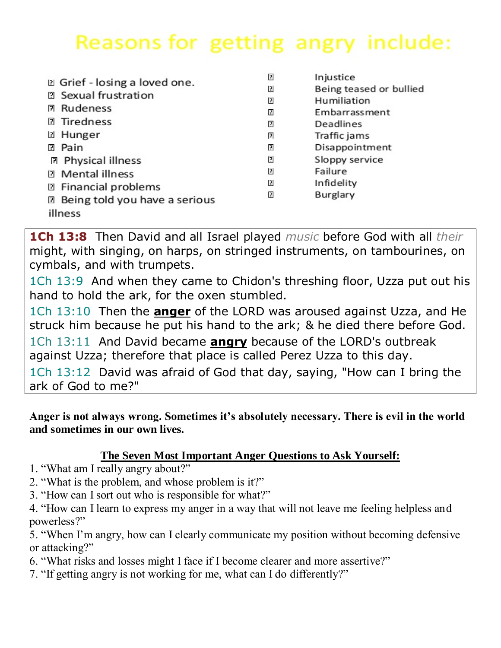# Reasons for getting angry include:

| D Grief - losing a loved one.          | ₽  | Injustice               |
|----------------------------------------|----|-------------------------|
|                                        | 13 | Being teased or bullied |
| <b>2 Sexual frustration</b>            | Σ  | Humiliation             |
| <b>团 Rudeness</b>                      | ◫  | Embarrassment           |
| <b>2 Tiredness</b>                     | 7  | Deadlines               |
| <b>2 Hunger</b>                        | 卪  | Traffic jams            |
| Pain<br>P.                             | 囝  | Disappointment          |
| <b>团 Physical illness</b>              | ⊡  | Sloppy service          |
| <b>2</b> Mental illness                | 13 | Failure                 |
| <b>2 Financial problems</b>            | ⊡  | Infidelity              |
|                                        | m  | Burglary                |
| <b>图 Being told you have a serious</b> |    |                         |
| illness                                |    |                         |

**1Ch 13:8** Then David and all Israel played *music* before God with all *their* might, with singing, on harps, on stringed instruments, on tambourines, on cymbals, and with trumpets.

1Ch 13:9 And when they came to Chidon's threshing floor, Uzza put out his hand to hold the ark, for the oxen stumbled.

1Ch 13:10 Then the **anger** of the LORD was aroused against Uzza, and He struck him because he put his hand to the ark; & he died there before God.

1Ch 13:11 And David became **angry** because of the LORD's outbreak against Uzza; therefore that place is called Perez Uzza to this day.

1Ch 13:12 David was afraid of God that day, saying, "How can I bring the ark of God to me?"

## **Anger is not always wrong. Sometimes it's absolutely necessary. There is evil in the world and sometimes in our own lives.**

# **The Seven Most Important Anger Questions to Ask Yourself:**

- 1. "What am I really angry about?"
- 2. "What is the problem, and whose problem is it?"
- 3. "How can I sort out who is responsible for what?"

4. "How can I learn to express my anger in a way that will not leave me feeling helpless and powerless?"

5. "When I'm angry, how can I clearly communicate my position without becoming defensive or attacking?"

- 6. "What risks and losses might I face if I become clearer and more assertive?"
- 7. "If getting angry is not working for me, what can I do differently?"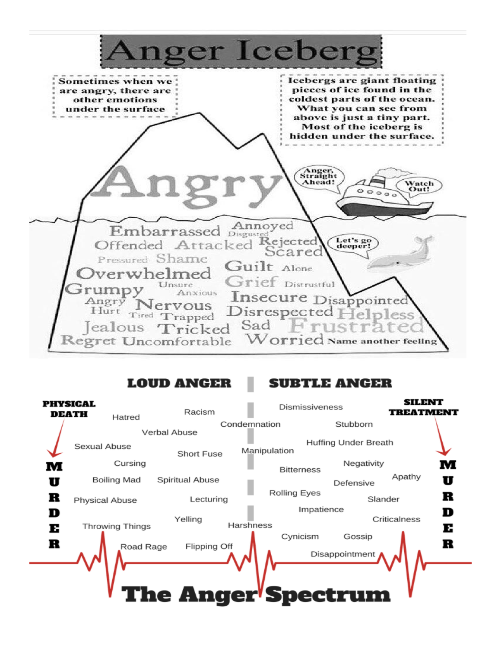

## **LOUD ANGER**

SUBTLE ANGER

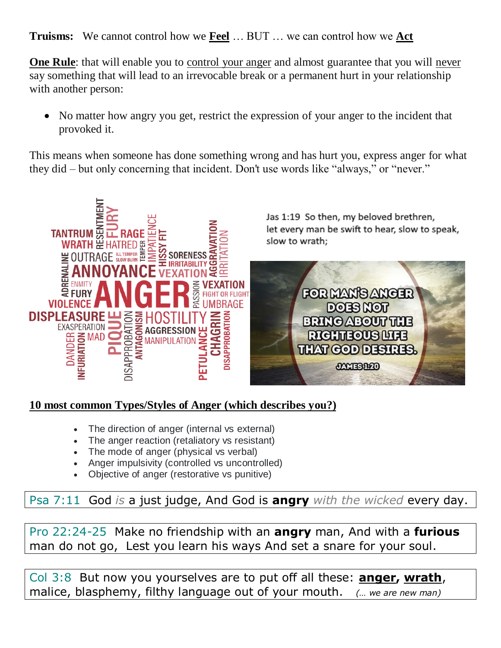**Truisms:** We cannot control how we **Feel** … BUT … we can control how we **Act**

**One Rule**: that will enable you to control your anger and almost guarantee that you will never say something that will lead to an irrevocable break or a permanent hurt in your relationship with another person:

• No matter how angry you get, restrict the expression of your anger to the incident that provoked it.

This means when someone has done something wrong and has hurt you, express anger for what they did – but only concerning that incident. Don't use words like "always," or "never."



# **10 most common Types/Styles of Anger (which describes you?)**

- The direction of anger (internal vs external)
- The anger reaction (retaliatory vs resistant)
- The mode of anger (physical vs verbal)
- Anger impulsivity (controlled vs uncontrolled)
- Objective of anger (restorative vs punitive)

Psa 7:11 God *is* a just judge, And God is **angry** *with the wicked* every day.

Pro 22:24-25 Make no friendship with an **angry** man, And with a **furious** man do not go, Lest you learn his ways And set a snare for your soul.

Col 3:8 But now you yourselves are to put off all these: **anger, wrath**, malice, blasphemy, filthy language out of your mouth. *(… we are new man)*